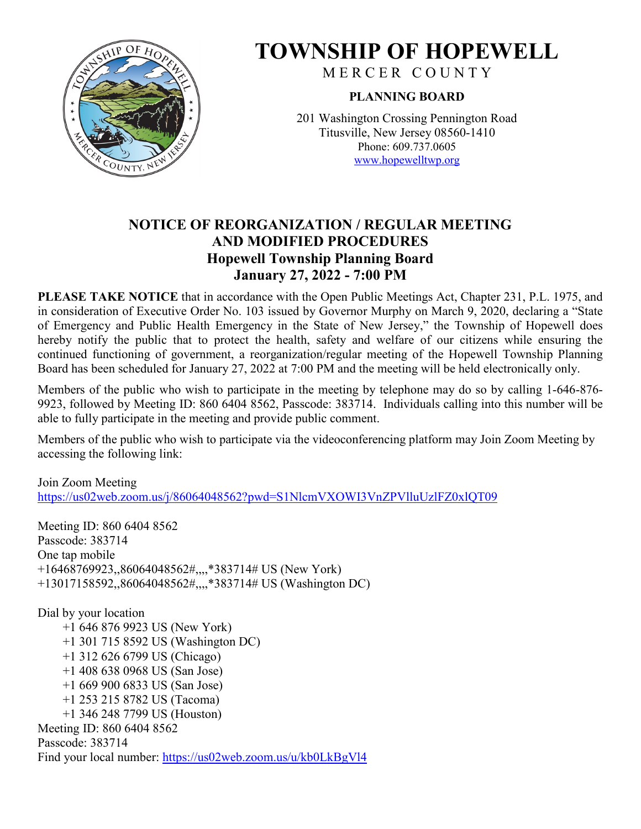

# **TOWNSHIP OF HOPEWELL**

M E R C E R C O U N T Y

# **PLANNING BOARD**

201 Washington Crossing Pennington Road Titusville, New Jersey 08560-1410 Phone: 609.737.0605 [www.hopewelltwp.org](http://www.hopewelltwp.org/)

# **NOTICE OF REORGANIZATION / REGULAR MEETING AND MODIFIED PROCEDURES Hopewell Township Planning Board January 27, 2022 - 7:00 PM**

**PLEASE TAKE NOTICE** that in accordance with the Open Public Meetings Act, Chapter 231, P.L. 1975, and in consideration of Executive Order No. 103 issued by Governor Murphy on March 9, 2020, declaring a "State of Emergency and Public Health Emergency in the State of New Jersey," the Township of Hopewell does hereby notify the public that to protect the health, safety and welfare of our citizens while ensuring the continued functioning of government, a reorganization/regular meeting of the Hopewell Township Planning Board has been scheduled for January 27, 2022 at 7:00 PM and the meeting will be held electronically only.

Members of the public who wish to participate in the meeting by telephone may do so by calling 1-646-876- 9923, followed by Meeting ID: 860 6404 8562, Passcode: 383714. Individuals calling into this number will be able to fully participate in the meeting and provide public comment.

Members of the public who wish to participate via the videoconferencing platform may Join Zoom Meeting by accessing the following link:

Join Zoom Meeting <https://us02web.zoom.us/j/86064048562?pwd=S1NlcmVXOWI3VnZPVlluUzlFZ0xlQT09>

Meeting ID: 860 6404 8562 Passcode: 383714 One tap mobile +16468769923,,86064048562#,,,,\*383714# US (New York) +13017158592,,86064048562#,,,,\*383714# US (Washington DC)

Dial by your location +1 646 876 9923 US (New York) +1 301 715 8592 US (Washington DC) +1 312 626 6799 US (Chicago) +1 408 638 0968 US (San Jose) +1 669 900 6833 US (San Jose) +1 253 215 8782 US (Tacoma) +1 346 248 7799 US (Houston) Meeting ID: 860 6404 8562 Passcode: 383714 Find your local number:<https://us02web.zoom.us/u/kb0LkBgVl4>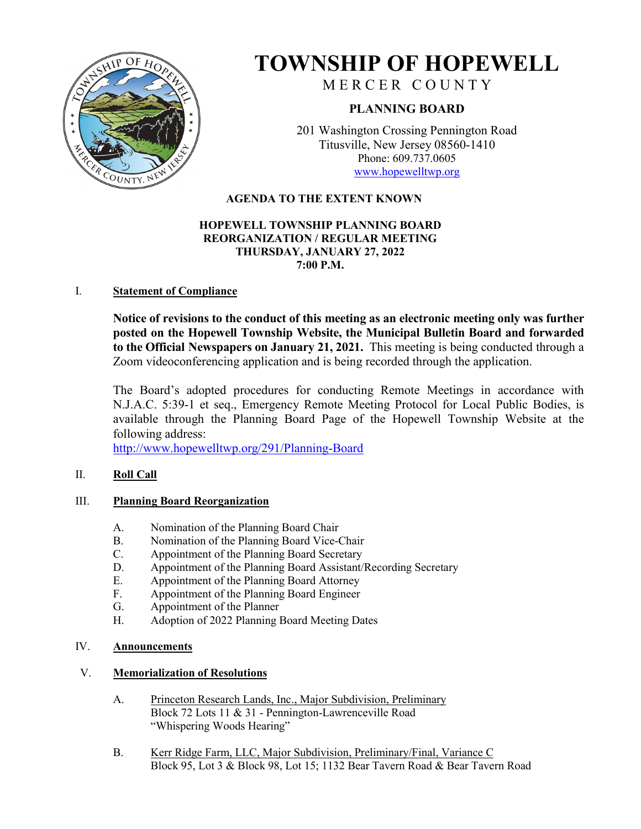

# **TOWNSHIP OF HOPEWELL**

MERCER COUNTY

# **PLANNING BOARD**

201 Washington Crossing Pennington Road Titusville, New Jersey 08560-1410 Phone: 609.737.0605 [www.hopewelltwp.org](http://www.hopewelltwp.org/)

# **AGENDA TO THE EXTENT KNOWN**

#### **HOPEWELL TOWNSHIP PLANNING BOARD REORGANIZATION / REGULAR MEETING THURSDAY, JANUARY 27, 2022 7:00 P.M.**

## I. **Statement of Compliance**

**Notice of revisions to the conduct of this meeting as an electronic meeting only was further posted on the Hopewell Township Website, the Municipal Bulletin Board and forwarded to the Official Newspapers on January 21, 2021.** This meeting is being conducted through a Zoom videoconferencing application and is being recorded through the application.

The Board's adopted procedures for conducting Remote Meetings in accordance with N.J.A.C. 5:39-1 et seq., Emergency Remote Meeting Protocol for Local Public Bodies, is available through the Planning Board Page of the Hopewell Township Website at the following address:

<http://www.hopewelltwp.org/291/Planning-Board>

# II. **Roll Call**

### III. **Planning Board Reorganization**

- A. Nomination of the Planning Board Chair
- B. Nomination of the Planning Board Vice-Chair
- C. Appointment of the Planning Board Secretary
- D. Appointment of the Planning Board Assistant/Recording Secretary
- E. Appointment of the Planning Board Attorney
- F. Appointment of the Planning Board Engineer
- G. Appointment of the Planner
- H. Adoption of 2022 Planning Board Meeting Dates

## IV. **Announcements**

### V. **Memorialization of Resolutions**

- A. Princeton Research Lands, Inc., Major Subdivision, Preliminary Block 72 Lots 11 & 31 - Pennington-Lawrenceville Road "Whispering Woods Hearing"
- B. Kerr Ridge Farm, LLC, Major Subdivision, Preliminary/Final, Variance C Block 95, Lot 3 & Block 98, Lot 15; 1132 Bear Tavern Road & Bear Tavern Road